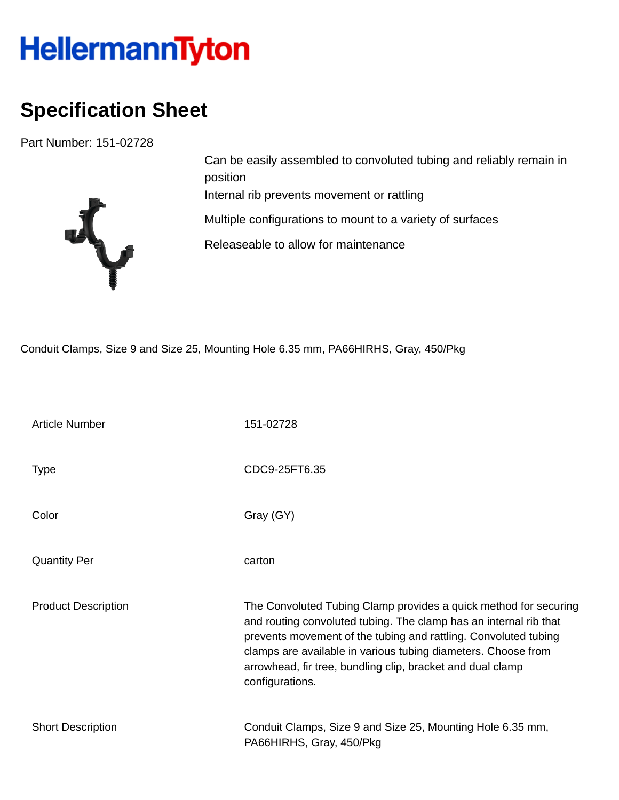## HellermannTyton

## **Specification Sheet**

Part Number: 151-02728



Can be easily assembled to convoluted tubing and reliably remain in position Internal rib prevents movement or rattling Multiple configurations to mount to a variety of surfaces Releaseable to allow for maintenance

Conduit Clamps, Size 9 and Size 25, Mounting Hole 6.35 mm, PA66HIRHS, Gray, 450/Pkg

| <b>Article Number</b>      | 151-02728                                                                                                                                                                                                                                                                                                                                                  |
|----------------------------|------------------------------------------------------------------------------------------------------------------------------------------------------------------------------------------------------------------------------------------------------------------------------------------------------------------------------------------------------------|
| Type                       | CDC9-25FT6.35                                                                                                                                                                                                                                                                                                                                              |
| Color                      | Gray (GY)                                                                                                                                                                                                                                                                                                                                                  |
| <b>Quantity Per</b>        | carton                                                                                                                                                                                                                                                                                                                                                     |
| <b>Product Description</b> | The Convoluted Tubing Clamp provides a quick method for securing<br>and routing convoluted tubing. The clamp has an internal rib that<br>prevents movement of the tubing and rattling. Convoluted tubing<br>clamps are available in various tubing diameters. Choose from<br>arrowhead, fir tree, bundling clip, bracket and dual clamp<br>configurations. |
| <b>Short Description</b>   | Conduit Clamps, Size 9 and Size 25, Mounting Hole 6.35 mm,<br>PA66HIRHS, Gray, 450/Pkg                                                                                                                                                                                                                                                                     |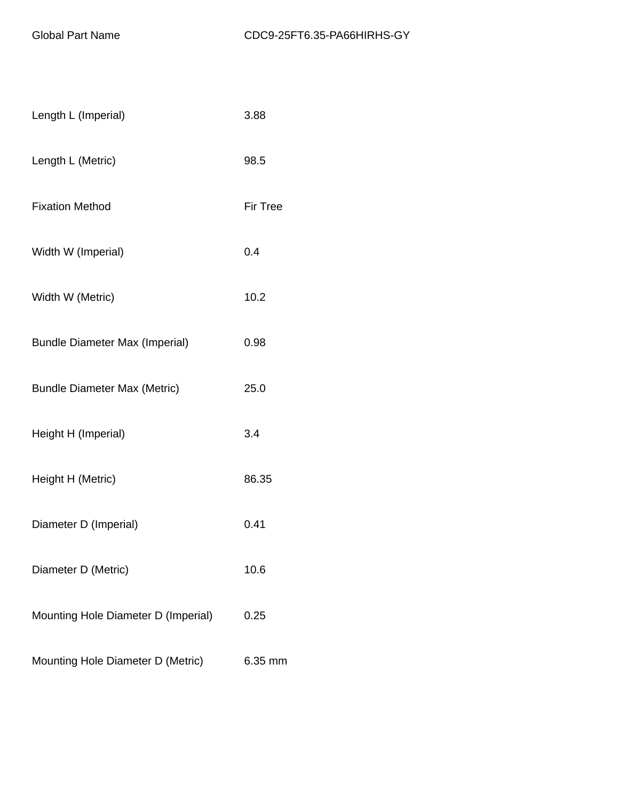| Length L (Imperial)                   | 3.88            |
|---------------------------------------|-----------------|
| Length L (Metric)                     | 98.5            |
| <b>Fixation Method</b>                | <b>Fir Tree</b> |
| Width W (Imperial)                    | 0.4             |
| Width W (Metric)                      | 10.2            |
| <b>Bundle Diameter Max (Imperial)</b> | 0.98            |
| <b>Bundle Diameter Max (Metric)</b>   | 25.0            |
| Height H (Imperial)                   | 3.4             |
| Height H (Metric)                     | 86.35           |
| Diameter D (Imperial)                 | 0.41            |
| Diameter D (Metric)                   | 10.6            |
| Mounting Hole Diameter D (Imperial)   | 0.25            |
| Mounting Hole Diameter D (Metric)     | 6.35 mm         |